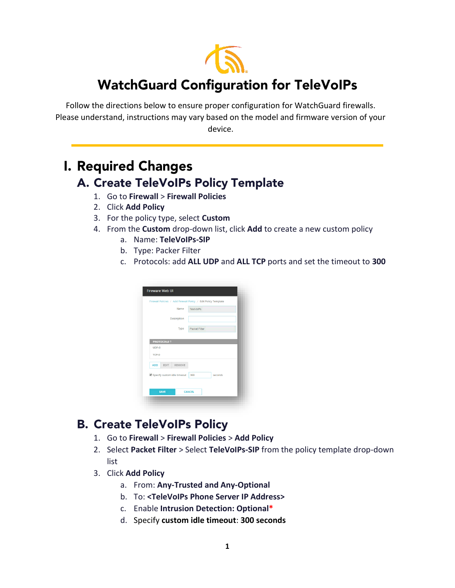

## **WatchGuard Configuration for TeleVoIPs**

Follow the directions below to ensure proper configuration for WatchGuard firewalls. Please understand, instructions may vary based on the model and firmware version of your device.

## **I. Required Changes** A. Create TeleVoIPs Policy Template

- 1. Go to **Firewall** > **Firewall Policies**
- 2. Click **Add Policy**
- 3. For the policy type, select **Custom**
- 4. From the **Custom** drop-down list, click **Add** to create a new custom policy
	- a. Name: **TeleVoIPs-SIP**
	- b. Type: Packer Filter
	- c. Protocols: add **ALL UDP** and **ALL TCP** ports and set the timeout to **300**

|                              | Firewall Policies / Add Firewall Policy / Edit Policy Template |
|------------------------------|----------------------------------------------------------------|
| Name                         | <b>TeleVoIPs</b>                                               |
| Description                  |                                                                |
| Type                         | Packet Filter                                                  |
| PROTOCOLS <sup>+</sup>       |                                                                |
| UDP:0                        |                                                                |
| TCP:0                        |                                                                |
| REMOVE<br><b>ADD</b><br>EDIT |                                                                |
| Specify custom idle timeout  | 300<br>seconds                                                 |
|                              |                                                                |
| <b>SAVE</b>                  | <b>CANCEL</b>                                                  |

## **B. Create TeleVoIPs Policy**

- 1. Go to **Firewall** > **Firewall Policies** > **Add Policy**
- 2. Select **Packet Filter** > Select **TeleVoIPs-SIP** from the policy template drop-down list
- 3. Click **Add Policy**
	- a. From: **Any-Trusted and Any-Optional**
	- b. To: **<TeleVoIPs Phone Server IP Address>**
	- c. Enable **Intrusion Detection: Optional\***
	- d. Specify **custom idle timeout**: **300 seconds**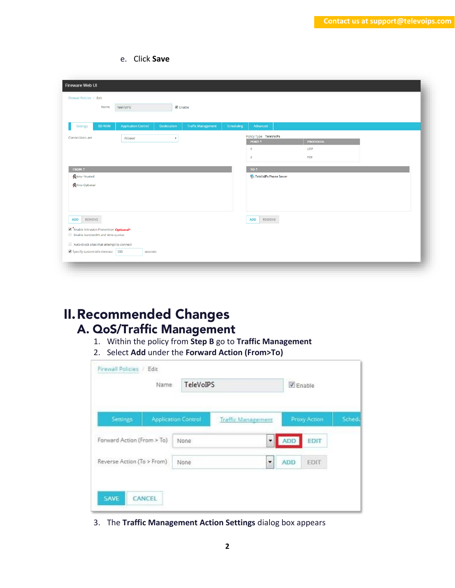e. Click **Save**

|                                                       | Firewall Policies / Edit |                                            |                           |                           |            |                                            |                 |  |
|-------------------------------------------------------|--------------------------|--------------------------------------------|---------------------------|---------------------------|------------|--------------------------------------------|-----------------|--|
|                                                       | Name                     | TeleVoIPs                                  | $\blacksquare$ Enable     |                           |            |                                            |                 |  |
| Settings                                              | SD-WAN                   | <b>Application Control</b>                 | Geolocation               | <b>Traffic Management</b> | Scheduling | Advanced                                   |                 |  |
| Connections are                                       |                          | Allowed                                    | $\boldsymbol{\mathrm{v}}$ |                           |            | Policy Type TeleVolPs<br>PORT <sup>+</sup> | <b>PROTOCOL</b> |  |
|                                                       |                          |                                            |                           |                           |            | $\mathbf{0}$                               | <b>UDP</b>      |  |
|                                                       |                          |                                            |                           |                           |            | $\circ$                                    | <b>TCP</b>      |  |
| FROM <sup>4</sup>                                     |                          |                                            |                           |                           |            | TO <sup>+</sup>                            |                 |  |
| Any-Trusted                                           |                          |                                            |                           |                           |            | TeleVoIPs Phone Server                     |                 |  |
| Any-Optional                                          |                          |                                            |                           |                           |            |                                            |                 |  |
|                                                       |                          |                                            |                           |                           |            |                                            |                 |  |
|                                                       |                          |                                            |                           |                           |            |                                            |                 |  |
| REMOVE<br><b>ADD</b>                                  |                          |                                            |                           |                           |            | <b>ADD</b><br>REMOVE                       |                 |  |
| <b><i>C</i></b> Enable Intrusion Prevention Optional* |                          |                                            |                           |                           |            |                                            |                 |  |
| Enable bandwidth and time quotas                      |                          |                                            |                           |                           |            |                                            |                 |  |
| Auto-block sites that attempt to connect              |                          | Specify custom idle timeout 300<br>seconds |                           |                           |            |                                            |                 |  |

## **II. Recommended Changes** A. QoS/Traffic Management

- 1. Within the policy from **Step B** go to **Traffic Management**
- 2. Select **Add** under the **Forward Action (From>To)**

| Name                       |  | TeleVoIPS                  |                           |                             | $V$ Enable   |        |  |
|----------------------------|--|----------------------------|---------------------------|-----------------------------|--------------|--------|--|
| Settings                   |  | <b>Application Control</b> | <b>Traffic Management</b> |                             | Proxy Action | Schedu |  |
| Forward Action (From > To) |  | None                       |                           | $\blacktriangledown$<br>ADD | EDIT         |        |  |
| Reverse Action (To > From) |  | None                       |                           | ٠<br><b>ADD</b>             | EDIT         |        |  |

3. The **Traffic Management Action Settings** dialog box appears